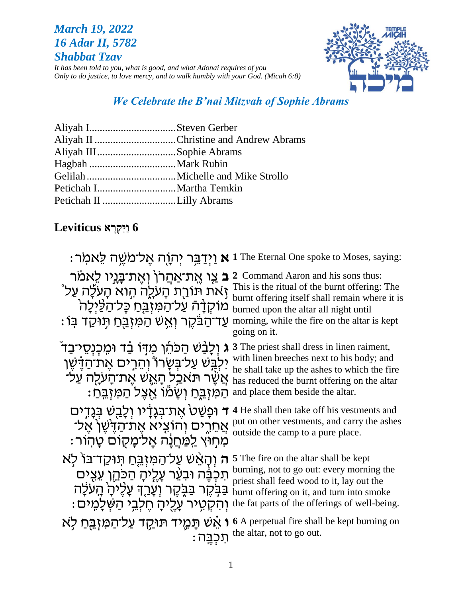## **March 19, 2022** 16 Adar II, 5782 **Shabbat Tzav**

It has been told to you, what is good, and what Adonai requires of you Only to do justice, to love mercy, and to walk humbly with your God. (Micah 6:8)



# We Celebrate the B'nai Mitzvah of Sophie Abrams

|                         | Aliyah II Christine and Andrew Abrams |
|-------------------------|---------------------------------------|
| Aliyah IIISophie Abrams |                                       |
|                         |                                       |
|                         |                                       |
|                         |                                       |
|                         |                                       |
|                         |                                       |

# Leviticus וַיִּקְרָא Leviticus

|                                                                                                                                                                                                | : יִתְוָה אֱל־מֹשֱה לֵאמְר 1 The Eternal One spoke to Moses, saying:                                                                                                                                                                           |
|------------------------------------------------------------------------------------------------------------------------------------------------------------------------------------------------|------------------------------------------------------------------------------------------------------------------------------------------------------------------------------------------------------------------------------------------------|
| <b>ב</b> צַו אֱת־אַהֲרֹן וָאֵת־בָּנֵיו לֵאמֹר<br>זְאת תּוֹרַת הָעֹלֶה הְוא הָעֹלָה עַל ゚<br>מוקדָה עַל־הַמְיֹבֵח כָּל־הַלַּיִלָה<br>ּעַד־הַבֹּקֶר וְאֵשׁ הַמִּזְבֵּחַ תְּוּקַד בְּוֹ           | 2 Command Aaron and his sons thus:<br>This is the ritual of the burnt offering: The<br>burnt offering itself shall remain where it is<br>burned upon the altar all night until<br>morning, while the fire on the altar is kept<br>going on it. |
| ג וְלֻבָּשׁ הַכּהֶׁן מִדְּוֹ בַּד וּמֵכְנְסֵי־בַד ֿ<br>יִלְבְּשׁ עַל־בִּשָׂרוֹ וְהֵרְים אֵת־הַדָּשֵׁן<br>ֹאֲשֶׁר תּאַכַל הָאֵשׁ אֵת־הַעלָה עַלֹ<br>ּהַמִּזְבֵּחַ וְשָׂמֹוֹ אֲצֵל הַמִּזְבֵּחַ: | 3 The priest shall dress in linen raiment,<br>with linen breeches next to his body; and<br>he shall take up the ashes to which the fire<br>has reduced the burnt offering on the altar<br>and place them beside the altar.                     |
| ד וּפָשַׁטׂ אֶת־בְּגָדָיו וְלָ <u>בְ</u> שׁ בִּגַדֵים<br>אַחֵרֵים וְהוֹצִיא אֱת־הַדֵּיֹשֶׁן אֱל־<br>מִחִוּץ <u>לִמְח</u> ָנֶה אֱל־מַקוֹם טַהוֹר:                                               | 4 He shall then take off his vestments and<br>put on other vestments, and carry the ashes<br>outside the camp to a pure place.                                                                                                                 |
| ה וְהָאֵשׁ עַל־הַמִּזְבֵּחַ תִּוּקַד־בּוֹ לְא<br>תִּכְבֶּה וּבִעֵּר עָלֵיהָ הַכּהֵן עֵצִים<br>ּבַּבְקֶר בַּבְּקֶר וְעָרַךְּ עָלֵיהָ הָעֹלָה<br>וְהִקְטֵיר עֲלֵיהַ חֵלְבֵי הַשְּׁלַמֵים:        | 5 The fire on the altar shall be kept<br>burning, not to go out: every morning the<br>priest shall feed wood to it, lay out the<br>burnt offering on it, and turn into smoke<br>the fat parts of the offerings of well-being.                  |
| תכבה:                                                                                                                                                                                          | ו המוח הוא A perpetual fire shall be kept burning on אֵשׁ תַּמֵיד תּוּקַד עַל־הַמְוָבֵחַ לְא<br>the altar, not to go out.                                                                                                                      |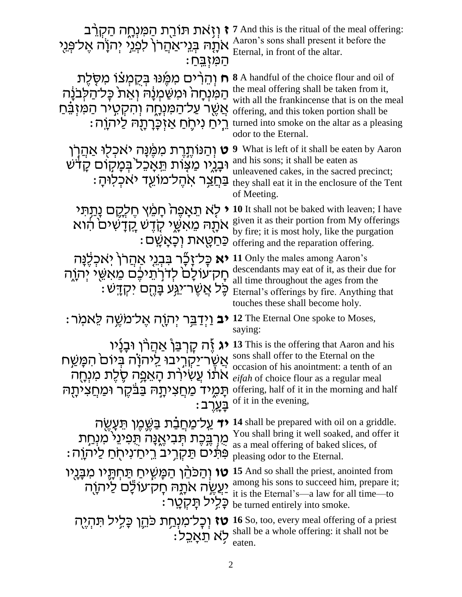| <b>ז</b> וְזָאת תּוֹרֻת הַמִּנְחֶה הַקְרֵב<br>אֹתֶׂהּ בְּנֵיֹאַהֲרוֹ לִפְנֵי יְהֹוָה אֶל־פְּנֵי<br>ּהַמִּיְבֵחַ                                                                                     | <b>7</b> And this is the ritual of the meal offering:<br>Aaron's sons shall present it before the<br>Eternal, in front of the altar.                                                                                                                                                 |
|-----------------------------------------------------------------------------------------------------------------------------------------------------------------------------------------------------|--------------------------------------------------------------------------------------------------------------------------------------------------------------------------------------------------------------------------------------------------------------------------------------|
| ח וְהֵרִים מִמֶּנוּ בְּקֻמְּצׁוֹ מִסְלֶת<br>הַמִּנְחָה וּמִשַּׁמְנָה וְאֵת כָּל־הַלְבֹּנָה<br>אֲשֶׁר עַל־הַמִּנְחֶה וְהִקְטָיר הַמִּזְבֵּׁחַ<br>ּרֵיחַ נִיחֶחַ אַזְכָּרְתָה לַיּהוֶה:               | <b>8</b> A handful of the choice flour and oil of<br>the meal offering shall be taken from it,<br>with all the frankincense that is on the meal<br>offering, and this token portion shall be<br>turned into smoke on the altar as a pleasing<br>odor to the Eternal.                 |
| ָט וְהַנּוֹתֶרֶת מִמֶּׁנָּה יאכְלִוּ אַהֲרָן<br>וּבָגֶיו מַצָּוֹת תֵּאָכֵל בִּמְקִוּם קָדֹּשׁ<br><u>ּבַּחֲצ</u> ָר אִהֱל־מוֹעֵד יאכִלוּהָ                                                           | <b>9</b> What is left of it shall be eaten by Aaron<br>and his sons; it shall be eaten as<br>unleavened cakes, in the sacred precinct;<br>they shall eat it in the enclosure of the Tent<br>of Meeting.                                                                              |
| י לְא תֵאָפֶה תָמֵץ חֵלְקֶם נָתַתִּי<br>אתָה מֵאִשֶּׁי קָדֶשׁ קֵדָשִׁים הוא<br>ּכַּחַטֶּאת וְכַאַשַׁם                                                                                               | <b>10</b> It shall not be baked with leaven; I have<br>given it as their portion from My offerings<br>by fire; it is most holy, like the purgation<br>offering and the reparation offering.                                                                                          |
| יא כָּל־זָבֶّר בִּבְגֵי אַהֲרֹן יְאַכְלֶנָּה<br>חָק־עוֹלָם לִדְרְתֵיּכֶם מֵאַשֵּׁי יִתְוֶה<br>ּכָּל אֲשֶׁר־י <u>ַגְּ</u> ע בָּהֶם יִקְדָשׁ                                                          | 11 Only the males among Aaron's<br>descendants may eat of it, as their due for<br>all time throughout the ages from the<br>Eternal's offerings by fire. Anything that<br>touches these shall become holy.                                                                            |
| <b>יב</b> וַיְדַבֵּר יְהוָה אֶל־מַשֵּׁה לֵאמִר:                                                                                                                                                     | 12 The Eternal One spoke to Moses,<br>saying:                                                                                                                                                                                                                                        |
| אֲשֶׂר־יַקְרְיבוּ לַיהוֹוֹה <sup>גַ</sup> יוֹם הַמָּשַׂח<br>occasion of his anointment: a tenth occasion of his anointment: a tenth o<br><i>eifah</i> of choice flour as a regular mea<br>: בַעֲרֵב | וֹת קַרְבַּךְ אַחֲלֹן וּבְנָיו 13 This is the offering that Aaron and his<br>occasion of his anointment: a tenth of an<br>eifah of choice flour as a regular meal<br>offering, half of it in the morning and half תַּמְיד מַחֲצִיתָה בַּבֹּקֶר וּמַחֲצִיתָה<br>of it in the evening, |
| <b>יד</b> עַל־מַחֲבַ֫ת בַּשֶּׁכֶּוּ תֵּעֲשֶׂה<br>ְמֶרְבֶּכֶת תְּבִיאֱנָה תַּפִינֵי מִנְחַת<br>פִּתִּים תַּקְרֵיב רֵיחַ־נִיחִחַ לַיהוֵה :                                                            | 14 shall be prepared with oil on a griddle.<br>You shall bring it well soaked, and offer it<br>as a meal offering of baked slices, of<br>pleasing odor to the Eternal.                                                                                                               |
| <b>טו</b> וְהַכֹּהֵן הַמָּשֶׁיחַ תַּחִתָּיו מִבָּנָיו<br>יַעֲשֶׂה אַתָּהּ חָק־עוֹלֶם לַיהוַה<br>כָּלְיל תַקְטַר:                                                                                    | 15 And so shall the priest, anointed from<br>among his sons to succeed him, prepare it;<br>it is the Eternal's-a law for all time-to<br>be turned entirely into smoke.                                                                                                               |
| <b>טז</b> וְכָל־מִנְחַת כּהֵן כָּלִיל תִּהְיֶה                                                                                                                                                      | <b>וֹכְל־מִנְרַ 16</b> So, too, every meal offering of a priest<br>לא תֵאָכֵל shall be a whole offering: it shall not be caten.                                                                                                                                                      |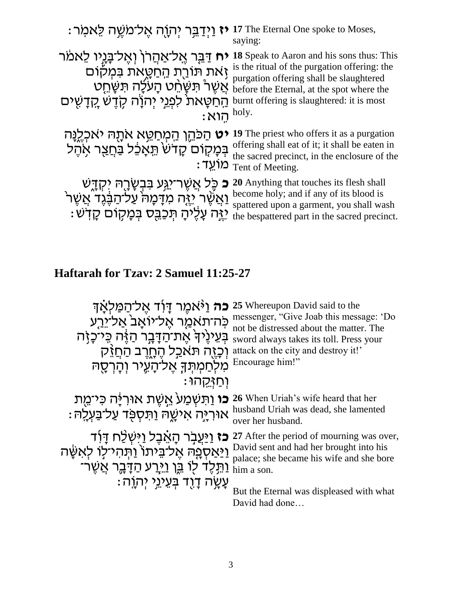| יז וַיִּדַבֵּר יִתְוָה אֱל־מַשֶּׁה לֵאמְר:                                                                                                                                             | 17 The Eternal One spoke to Moses,<br>saying:                                                                                                                                                                                  |
|----------------------------------------------------------------------------------------------------------------------------------------------------------------------------------------|--------------------------------------------------------------------------------------------------------------------------------------------------------------------------------------------------------------------------------|
| יח דַּבֶּר אֶל־אַהֲרֹן וְאֶל־בָּנָיו לֵאמֹר<br>זָאת תּוֹרֻת הַחַטָּאת בּמִקוֹם<br>ְאֲשֶׁרْ תַּשָּׂחֵט הָעֹלָה תַּשָּׁחֵט<br>ְהַחַטָּאת לִפְגֵי יְהֹוָה קָדֵשׁ קֵדָשִׁים<br>: הוא holy. | 18 Speak to Aaron and his sons thus: This<br>is the ritual of the purgation offering: the<br>purgation offering shall be slaughtered<br>before the Eternal, at the spot where the<br>burnt offering is slaughtered: it is most |
| <b>יט</b> הַכּהֵן הַמְחַטֵּא אתָה יאכְלֶנָּה<br>בִּמְקָוֹם קָדֹשׂ וַיָּאָכֶל <u>בְּחֲ</u> צְר אָהֶל                                                                                    | 19 The priest who offers it as a purgation<br>offering shall eat of it; it shall be eaten in<br>the sacred precinct, in the enclosure of the<br>Tent of Meeting.                                                               |
| ּכֶּל אֲשֶׁר־י <u>ַג</u> ְּע בִּבְשָׂרָהּ יִקְדֶשׁ<br>כ<br>וַאֲשֶׁר יָיֶה מִדָּמָה עַל־הַבֶּנֶד אֲשֶׁר<br>יַיֶּה עַלֶּיהַ תִּכְבֶּס בִּמְקוֹם קַדְשׁׁ                                  | 20 Anything that touches its flesh shall<br>become holy; and if any of its blood is<br>spattered upon a garment, you shall wash<br>the bespattered part in the sacred precinct.                                                |

# **Haftarah for Tzav: 2 Samuel 11:25-27**

| <b>כה</b> וַיֹּאמֵר דָּוֹד אֵל־הַמַּלְאָךָ                     | 25 Whereupon David said to the<br>messenger, "Give Joab this message: 'Do |
|----------------------------------------------------------------|---------------------------------------------------------------------------|
| כּה־תאמַר אֵל־יוֹאַב <sup>י</sup> אַל־יֵרֵע                    | not be distressed about the matter. The                                   |
| בְּעֵינֶיךֹ אֶת־הַדָּבָר הַזֶּה כִּי־כָזָה                     | sword always takes its toll. Press your                                   |
| ַתּא <u>כְ</u> ל הֶחֶרֶב הַחֲזֵק                               | attack on the city and destroy it!'                                       |
| מִלְחַמְתִּךְ אֱל־הָעֱיר וְהָרְסֶה                             | Encourage him!"                                                           |
| ּוְחַזְּקֵהוּ                                                  |                                                                           |
| <b>ָכו</b> וַתְּשְׁמַעֹ אֱשֶׁת אוּרְיָּה כִּי־מֻת              | 26 When Uriah's wife heard that her                                       |
| ּאוּריָה אישָה וַתּסִפְּד עַל־בַּעְלֵה                         | husband Uriah was dead, she lamented<br>over her husband.                 |
| <b>כז</b> וַיַּעֲבְר הָאֵבֵל וַיִּשְׁלַח דָּוֹד                | 27 After the period of mourning was over,                                 |
| <u>וַיַּאַסְפָה אֱל־בֵ</u> יתוֹ וַתְּהִי־לִוֹ לְאִשֶּׁה        | David sent and had her brought into his                                   |
| <u>ַוַּתְּ</u> לֶד לְוֹ בֵּן וַ <u>י</u> ּרֻע הַדָּבֶר אֲשֵׂרֹ | palace; she became his wife and she bore<br>him a son.                    |
| ּעֲשֶׂה דָוִד בִּעֱיֹנֵי יִהְוֵה:                              | But the Eternal was displeased with what                                  |
|                                                                | David had done                                                            |
|                                                                |                                                                           |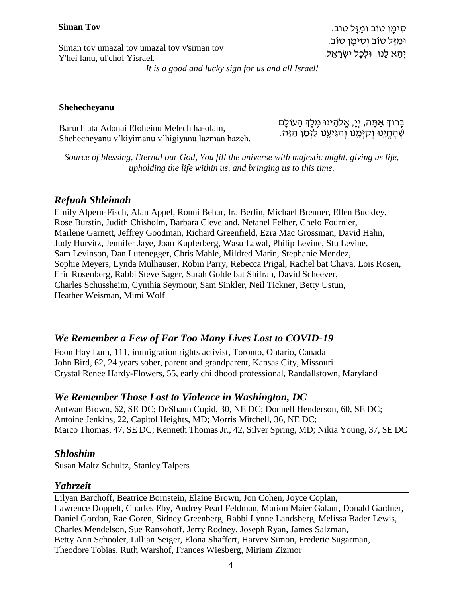### **Siman Tov**

Siman tov umazal tov umazal tov v'siman tov Y'hei lanu, ul'chol Yisrael*.*

ּםְימַן טוֹב וּמַזַּל טוֹב. וּמַזַּל טוֹב וְסִימַן טוֹב. יְהֵא לַנוּ. וּלְכַל יְשְׂרָאֵל.

*It is a good and lucky sign for us and all Israel!*

#### **Shehecheyanu**

Baruch ata Adonai Eloheinu Melech ha-olam, Shehecheyanu v'kiyimanu v'higiyanu lazman hazeh. ּבָּרוּךְ אַתָּה, יְיָ, אֱלֹהֵינוּ מֶלֶךְ הָעוֹלָם ָשׁהחֵינוּ וְקִיּמֵנוּ וְהְגִּיעֲנוּ לַזְמַן הַזֶּה.

*Source of blessing, Eternal our God, You fill the universe with majestic might, giving us life, upholding the life within us, and bringing us to this time.*

### *Refuah Shleimah*

Emily Alpern-Fisch, Alan Appel, Ronni Behar, Ira Berlin, Michael Brenner, Ellen Buckley, Rose Burstin, Judith Chisholm, Barbara Cleveland, Netanel Felber, Chelo Fournier, Marlene Garnett, Jeffrey Goodman, Richard Greenfield, Ezra Mac Grossman, David Hahn, Judy Hurvitz, Jennifer Jaye, Joan Kupferberg, Wasu Lawal, Philip Levine, Stu Levine, Sam Levinson, Dan Lutenegger, Chris Mahle, Mildred Marin, Stephanie Mendez, Sophie Meyers, Lynda Mulhauser, Robin Parry, Rebecca Prigal, Rachel bat Chava, Lois Rosen, Eric Rosenberg, Rabbi Steve Sager, Sarah Golde bat Shifrah, David Scheever, Charles Schussheim, Cynthia Seymour, Sam Sinkler, Neil Tickner, Betty Ustun, Heather Weisman, Mimi Wolf

## *We Remember a Few of Far Too Many Lives Lost to COVID-19*

Foon Hay Lum, 111, immigration rights activist, Toronto, Ontario, Canada John Bird, 62, 24 years sober, parent and grandparent, Kansas City, Missouri Crystal Renee Hardy-Flowers, 55, early childhood professional, Randallstown, Maryland

## *We Remember Those Lost to Violence in Washington, DC*

Antwan Brown, 62, SE DC; DeShaun Cupid, 30, NE DC; Donnell Henderson, 60, SE DC; Antoine Jenkins, 22, Capitol Heights, MD; Morris Mitchell, 36, NE DC; Marco Thomas, 47, SE DC; Kenneth Thomas Jr., 42, Silver Spring, MD; Nikia Young, 37, SE DC

### *Shloshim*

Susan Maltz Schultz, Stanley Talpers

## *Yahrzeit*

Lilyan Barchoff, Beatrice Bornstein, Elaine Brown, Jon Cohen, Joyce Coplan, Lawrence Doppelt, Charles Eby, Audrey Pearl Feldman, Marion Maier Galant, Donald Gardner, Daniel Gordon, Rae Goren, Sidney Greenberg, Rabbi Lynne Landsberg, Melissa Bader Lewis, Charles Mendelson, Sue Ransohoff, Jerry Rodney, Joseph Ryan, James Salzman, Betty Ann Schooler, Lillian Seiger, Elona Shaffert, Harvey Simon, Frederic Sugarman, Theodore Tobias, Ruth Warshof, Frances Wiesberg, Miriam Zizmor